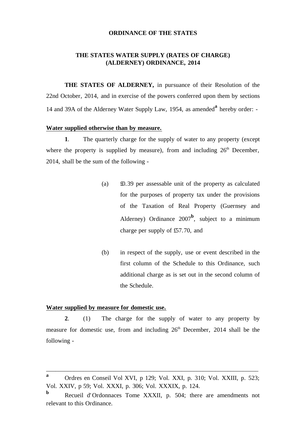#### **ORDINANCE OF THE STATES**

#### **THE STATES WATER SUPPLY (RATES OF CHARGE) (ALDERNEY) ORDINANCE, 2014**

**THE STATES OF ALDERNEY,** in pursuance of their Resolution of the 22nd October, 2014, and in exercise of the powers conferred upon them by sections 14 and 39A of the Alderney Water Supply Law, 1954, as amended**<sup>a</sup>** hereby order: -

#### **Water supplied otherwise than by measure.**

**1**. The quarterly charge for the supply of water to any property (except where the property is supplied by measure), from and including  $26<sup>th</sup>$  December, 2014, shall be the sum of the following -

- (a) £0.39 per assessable unit of the property as calculated for the purposes of property tax under the provisions of the Taxation of Real Property (Guernsey and Alderney) Ordinance  $2007^b$ , subject to a minimum charge per supply of £57.70, and
- (b) in respect of the supply, use or event described in the first column of the Schedule to this Ordinance, such additional charge as is set out in the second column of the Schedule.

#### **Water supplied by measure for domestic use.**

**2**. (1) The charge for the supply of water to any property by measure for domestic use, from and including  $26<sup>th</sup>$  December, 2014 shall be the following -

\_\_\_\_\_\_\_\_\_\_\_\_\_\_\_\_\_\_\_\_\_\_\_\_\_\_\_\_\_\_\_\_\_\_\_\_\_\_\_\_\_\_\_\_\_\_\_\_\_\_\_\_\_\_\_\_\_\_\_\_\_\_\_\_\_\_\_\_\_

**a** Ordres en Conseil Vol XVI, p 129; Vol. XXI, p. 310; Vol. XXIII, p. 523; Vol. XXIV, p 59; Vol. XXXI, p. 306; Vol. XXXIX, p. 124.

**b** Recueil d' Ordonnaces Tome XXXII, p. 504; there are amendments not relevant to this Ordinance.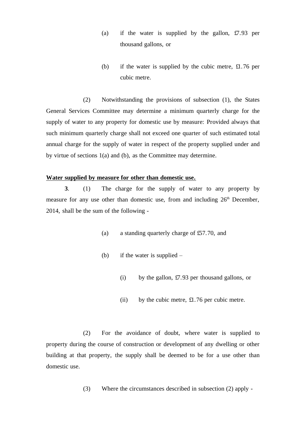- (a) if the water is supplied by the gallon,  $\text{\textsterling}7.93$  per thousand gallons, or
- (b) if the water is supplied by the cubic metre, £1.76 per cubic metre.

(2) Notwithstanding the provisions of subsection (1), the States General Services Committee may determine a minimum quarterly charge for the supply of water to any property for domestic use by measure: Provided always that such minimum quarterly charge shall not exceed one quarter of such estimated total annual charge for the supply of water in respect of the property supplied under and by virtue of sections 1(a) and (b), as the Committee may determine.

## **Water supplied by measure for other than domestic use.**

**3**. (1) The charge for the supply of water to any property by measure for any use other than domestic use, from and including  $26<sup>th</sup>$  December, 2014, shall be the sum of the following -

- (a) a standing quarterly charge of £57.70, and
- (b) if the water is supplied
	- (i) by the gallon,  $\text{\textsterling}7.93$  per thousand gallons, or
	- (ii) by the cubic metre, £1.76 per cubic metre.

(2) For the avoidance of doubt, where water is supplied to property during the course of construction or development of any dwelling or other building at that property, the supply shall be deemed to be for a use other than domestic use.

(3) Where the circumstances described in subsection (2) apply -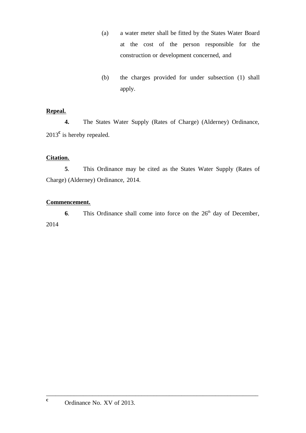- (a) a water meter shall be fitted by the States Water Board at the cost of the person responsible for the construction or development concerned, and
- (b) the charges provided for under subsection (1) shall apply.

#### **Repeal.**

**4.** The States Water Supply (Rates of Charge) (Alderney) Ordinance, 2013<sup>c</sup> is hereby repealed.

## **Citation.**

**5**. This Ordinance may be cited as the States Water Supply (Rates of Charge) (Alderney) Ordinance, 2014.

#### **Commencement.**

**6**. This Ordinance shall come into force on the  $26<sup>th</sup>$  day of December, 2014

\_\_\_\_\_\_\_\_\_\_\_\_\_\_\_\_\_\_\_\_\_\_\_\_\_\_\_\_\_\_\_\_\_\_\_\_\_\_\_\_\_\_\_\_\_\_\_\_\_\_\_\_\_\_\_\_\_\_\_\_\_\_\_\_\_\_\_\_\_